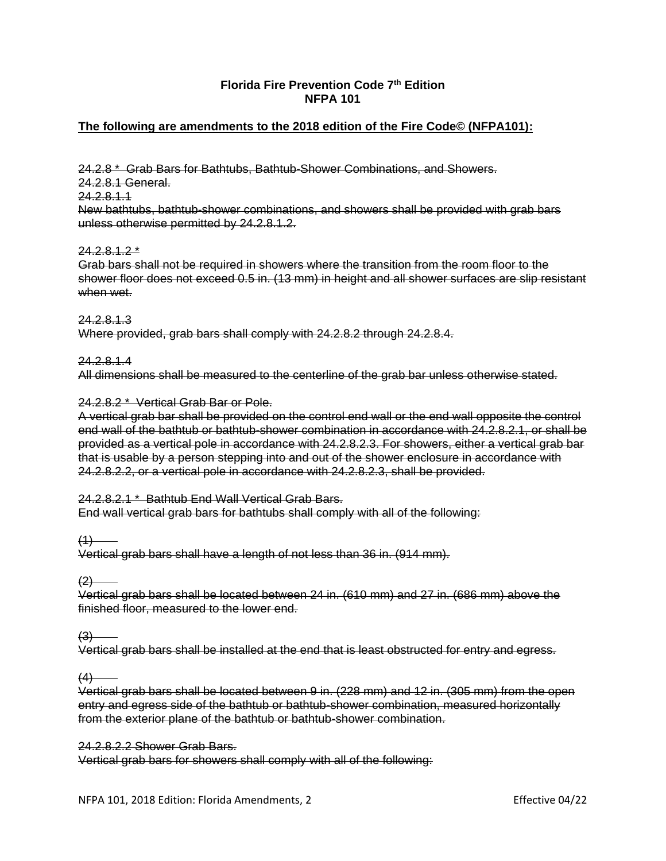# **Florida Fire Prevention Code 7th Edition NFPA 101**

# **The following are amendments to the 2018 edition of the Fire Code© (NFPA101):**

24.2.8 \* Grab Bars for Bathtubs, Bathtub-Shower Combinations, and Showers. 24.2.8.1 General. 24.2.8.1.1 New bathtubs, bathtub-shower combinations, and showers shall be provided with grab bars unless otherwise permitted by 24.2.8.1.2.

### $24.2812*$

Grab bars shall not be required in showers where the transition from the room floor to the shower floor does not exceed 0.5 in. (13 mm) in height and all shower surfaces are slip resistant when wet.

24.2.8.1.3 Where provided, grab bars shall comply with 24.2.8.2 through 24.2.8.4.

24.2.8.1.4 All dimensions shall be measured to the centerline of the grab bar unless otherwise stated.

### 24.2.8.2 \* Vertical Grab Bar or Pole.

A vertical grab bar shall be provided on the control end wall or the end wall opposite the control end wall of the bathtub or bathtub-shower combination in accordance with 24.2.8.2.1, or shall be provided as a vertical pole in accordance with 24.2.8.2.3. For showers, either a vertical grab bar that is usable by a person stepping into and out of the shower enclosure in accordance with 24.2.8.2.2, or a vertical pole in accordance with 24.2.8.2.3, shall be provided.

## 24.2.8.2.1 \* Bathtub End Wall Vertical Grab Bars.

End wall vertical grab bars for bathtubs shall comply with all of the following:

 $(1)$ 

Vertical grab bars shall have a length of not less than 36 in. (914 mm).

 $(2)$ 

Vertical grab bars shall be located between 24 in. (610 mm) and 27 in. (686 mm) above the finished floor, measured to the lower end.

 $(3)$ 

Vertical grab bars shall be installed at the end that is least obstructed for entry and egress.

 $(4)$ 

Vertical grab bars shall be located between 9 in. (228 mm) and 12 in. (305 mm) from the open entry and egress side of the bathtub or bathtub-shower combination, measured horizontally from the exterior plane of the bathtub or bathtub-shower combination.

## 24.2.8.2.2 Shower Grab Bars.

Vertical grab bars for showers shall comply with all of the following:

NFPA 101, 2018 Edition: Florida Amendments, 2 Effective 04/22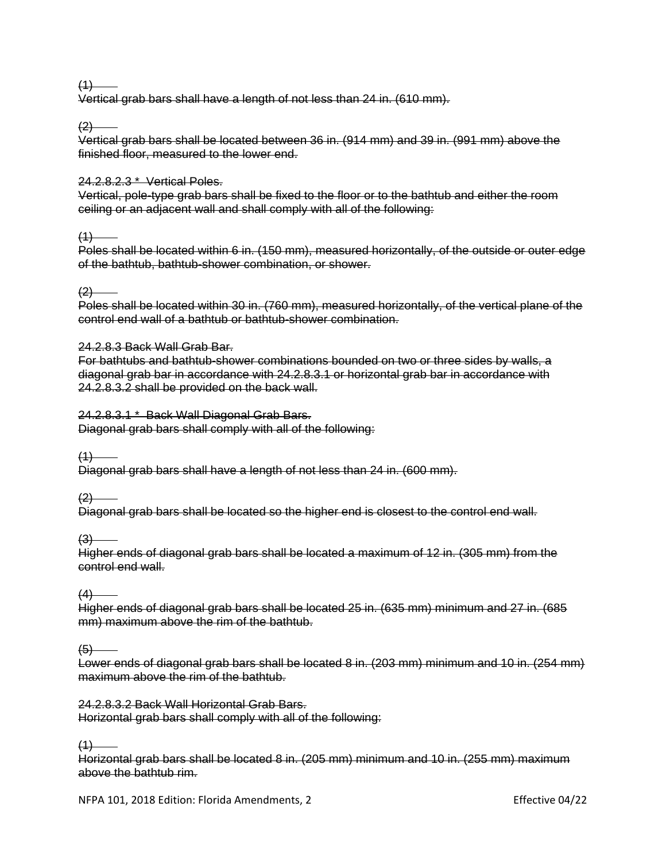$(1)$ 

Vertical grab bars shall have a length of not less than 24 in. (610 mm).

 $(2)$ 

Vertical grab bars shall be located between 36 in. (914 mm) and 39 in. (991 mm) above the finished floor, measured to the lower end.

## 24.2.8.2.3 \* Vertical Poles.

Vertical, pole-type grab bars shall be fixed to the floor or to the bathtub and either the room ceiling or an adjacent wall and shall comply with all of the following:

 $(4)$ 

Poles shall be located within 6 in. (150 mm), measured horizontally, of the outside or outer edge of the bathtub, bathtub-shower combination, or shower.

### $(2)$

Poles shall be located within 30 in. (760 mm), measured horizontally, of the vertical plane of the control end wall of a bathtub or bathtub-shower combination.

### 24.2.8.3 Back Wall Grab Bar.

For bathtubs and bathtub-shower combinations bounded on two or three sides by walls, a diagonal grab bar in accordance with 24.2.8.3.1 or horizontal grab bar in accordance with 24.2.8.3.2 shall be provided on the back wall.

### 24.2.8.3.1 \* Back Wall Diagonal Grab Bars.

Diagonal grab bars shall comply with all of the following:

 $(1)$ 

Diagonal grab bars shall have a length of not less than 24 in. (600 mm).

 $(2)$ 

Diagonal grab bars shall be located so the higher end is closest to the control end wall.

 $(3)$ 

Higher ends of diagonal grab bars shall be located a maximum of 12 in. (305 mm) from the control end wall.

 $(4)$ 

Higher ends of diagonal grab bars shall be located 25 in. (635 mm) minimum and 27 in. (685 mm) maximum above the rim of the bathtub.

 $(5)$ 

Lower ends of diagonal grab bars shall be located 8 in. (203 mm) minimum and 10 in. (254 mm) maximum above the rim of the bathtub.

24.2.8.3.2 Back Wall Horizontal Grab Bars. Horizontal grab bars shall comply with all of the following:

 $(1)$ 

Horizontal grab bars shall be located 8 in. (205 mm) minimum and 10 in. (255 mm) maximum above the bathtub rim.

NFPA 101, 2018 Edition: Florida Amendments, 2 Effective 04/22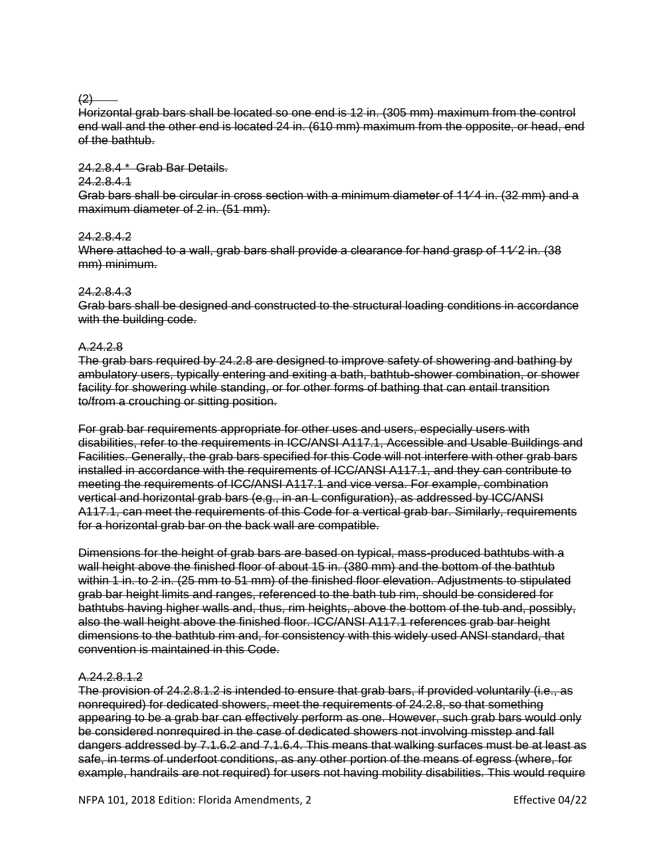### $(2)$

Horizontal grab bars shall be located so one end is 12 in. (305 mm) maximum from the control end wall and the other end is located 24 in. (610 mm) maximum from the opposite, or head, end of the bathtub.

## 24.2.8.4 \* Grab Bar Details.

## 24.2.8.4.1

Grab bars shall be circular in cross section with a minimum diameter of 11∕ 4 in. (32 mm) and a maximum diameter of 2 in. (51 mm).

## 24.2.8.4.2

Where attached to a wall, grab bars shall provide a clearance for hand grasp of 11⁄2 in. (38 mm) minimum.

### 24.2.8.4.3

Grab bars shall be designed and constructed to the structural loading conditions in accordance with the building code.

## A.24.2.8

The grab bars required by 24.2.8 are designed to improve safety of showering and bathing by ambulatory users, typically entering and exiting a bath, bathtub-shower combination, or shower facility for showering while standing, or for other forms of bathing that can entail transition to/from a crouching or sitting position.

For grab bar requirements appropriate for other uses and users, especially users with disabilities, refer to the requirements in ICC/ANSI A117.1, Accessible and Usable Buildings and Facilities. Generally, the grab bars specified for this Code will not interfere with other grab bars installed in accordance with the requirements of ICC/ANSI A117.1, and they can contribute to meeting the requirements of ICC/ANSI A117.1 and vice versa. For example, combination vertical and horizontal grab bars (e.g., in an L configuration), as addressed by ICC/ANSI A117.1, can meet the requirements of this Code for a vertical grab bar. Similarly, requirements for a horizontal grab bar on the back wall are compatible.

Dimensions for the height of grab bars are based on typical, mass-produced bathtubs with a wall height above the finished floor of about 15 in. (380 mm) and the bottom of the bathtub within 1 in. to 2 in. (25 mm to 51 mm) of the finished floor elevation. Adjustments to stipulated grab bar height limits and ranges, referenced to the bath tub rim, should be considered for bathtubs having higher walls and, thus, rim heights, above the bottom of the tub and, possibly, also the wall height above the finished floor. ICC/ANSI A117.1 references grab bar height dimensions to the bathtub rim and, for consistency with this widely used ANSI standard, that convention is maintained in this Code.

## A.24.2.8.1.2

The provision of 24.2.8.1.2 is intended to ensure that grab bars, if provided voluntarily (i.e., as nonrequired) for dedicated showers, meet the requirements of 24.2.8, so that something appearing to be a grab bar can effectively perform as one. However, such grab bars would only be considered nonrequired in the case of dedicated showers not involving misstep and fall dangers addressed by 7.1.6.2 and 7.1.6.4. This means that walking surfaces must be at least as safe, in terms of underfoot conditions, as any other portion of the means of egress (where, for example, handrails are not required) for users not having mobility disabilities. This would require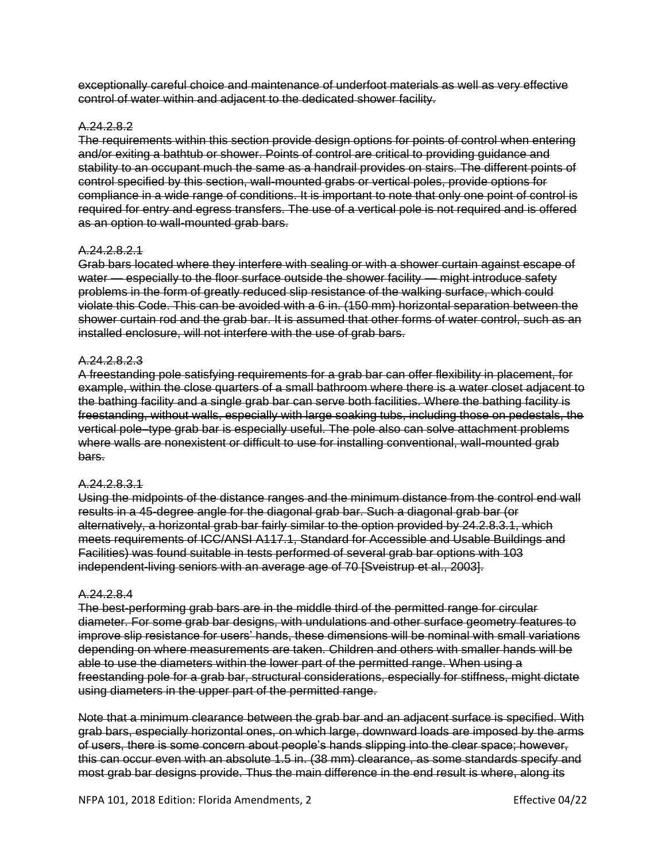exceptionally careful choice and maintenance of underfoot materials as well as very effective control of water within and adjacent to the dedicated shower facility.

## A.24.2.8.2

The requirements within this section provide design options for points of control when entering and/or exiting a bathtub or shower. Points of control are critical to providing guidance and stability to an occupant much the same as a handrail provides on stairs. The different points of control specified by this section, wall-mounted grabs or vertical poles, provide options for compliance in a wide range of conditions. It is important to note that only one point of control is required for entry and egress transfers. The use of a vertical pole is not required and is offered as an option to wall-mounted grab bars.

#### A.24.2.8.2.1

Grab bars located where they interfere with sealing or with a shower curtain against escape of water — especially to the floor surface outside the shower facility — might introduce safety problems in the form of greatly reduced slip resistance of the walking surface, which could violate this Code. This can be avoided with a 6 in. (150 mm) horizontal separation between the shower curtain rod and the grab bar. It is assumed that other forms of water control, such as an installed enclosure, will not interfere with the use of grab bars.

#### A.24.2.8.2.3

A freestanding pole satisfying requirements for a grab bar can offer flexibility in placement, for example, within the close quarters of a small bathroom where there is a water closet adjacent to the bathing facility and a single grab bar can serve both facilities. Where the bathing facility is freestanding, without walls, especially with large soaking tubs, including those on pedestals, the vertical pole–type grab bar is especially useful. The pole also can solve attachment problems where walls are nonexistent or difficult to use for installing conventional, wall-mounted grab bars.

### A.24.2.8.3.1

Using the midpoints of the distance ranges and the minimum distance from the control end wall results in a 45-degree angle for the diagonal grab bar. Such a diagonal grab bar (or alternatively, a horizontal grab bar fairly similar to the option provided by 24.2.8.3.1, which meets requirements of ICC/ANSI A117.1, Standard for Accessible and Usable Buildings and Facilities) was found suitable in tests performed of several grab bar options with 103 independent-living seniors with an average age of 70 [Sveistrup et al., 2003].

#### A.24.2.8.4

The best-performing grab bars are in the middle third of the permitted range for circular diameter. For some grab bar designs, with undulations and other surface geometry features to improve slip resistance for users' hands, these dimensions will be nominal with small variations depending on where measurements are taken. Children and others with smaller hands will be able to use the diameters within the lower part of the permitted range. When using a freestanding pole for a grab bar, structural considerations, especially for stiffness, might dictate using diameters in the upper part of the permitted range.

Note that a minimum clearance between the grab bar and an adjacent surface is specified. With grab bars, especially horizontal ones, on which large, downward loads are imposed by the arms of users, there is some concern about people's hands slipping into the clear space; however, this can occur even with an absolute 1.5 in. (38 mm) clearance, as some standards specify and most grab bar designs provide. Thus the main difference in the end result is where, along its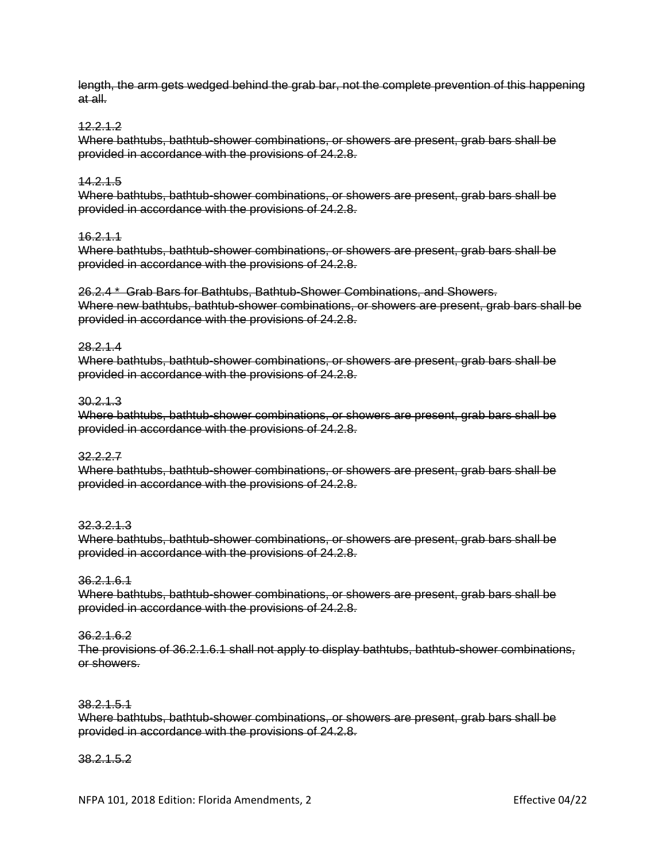length, the arm gets wedged behind the grab bar, not the complete prevention of this happening at all.

## 12.2.1.2

Where bathtubs, bathtub-shower combinations, or showers are present, grab bars shall be provided in accordance with the provisions of 24.2.8.

### 14.2.1.5

Where bathtubs, bathtub-shower combinations, or showers are present, grab bars shall be provided in accordance with the provisions of 24.2.8.

#### 16.2.1.1

Where bathtubs, bathtub-shower combinations, or showers are present, grab bars shall be provided in accordance with the provisions of 24.2.8.

26.2.4 \* Grab Bars for Bathtubs, Bathtub-Shower Combinations, and Showers. Where new bathtubs, bathtub-shower combinations, or showers are present, grab bars shall be provided in accordance with the provisions of 24.2.8.

### 28.2.1.4

Where bathtubs, bathtub-shower combinations, or showers are present, grab bars shall be provided in accordance with the provisions of 24.2.8.

## 30.2.1.3

Where bathtubs, bathtub-shower combinations, or showers are present, grab bars shall be provided in accordance with the provisions of 24.2.8.

## 32.2.2.7

Where bathtubs, bathtub-shower combinations, or showers are present, grab bars shall be provided in accordance with the provisions of 24.2.8.

#### 32.3.2.1.3

Where bathtubs, bathtub-shower combinations, or showers are present, grab bars shall be provided in accordance with the provisions of 24.2.8.

## 36.2.1.6.1

Where bathtubs, bathtub-shower combinations, or showers are present, grab bars shall be provided in accordance with the provisions of 24.2.8.

#### 36.2.1.6.2

The provisions of 36.2.1.6.1 shall not apply to display bathtubs, bathtub-shower combinations, or showers.

#### 38.2.1.5.1

Where bathtubs, bathtub-shower combinations, or showers are present, grab bars shall be provided in accordance with the provisions of 24.2.8.

## 38.2.1.5.2